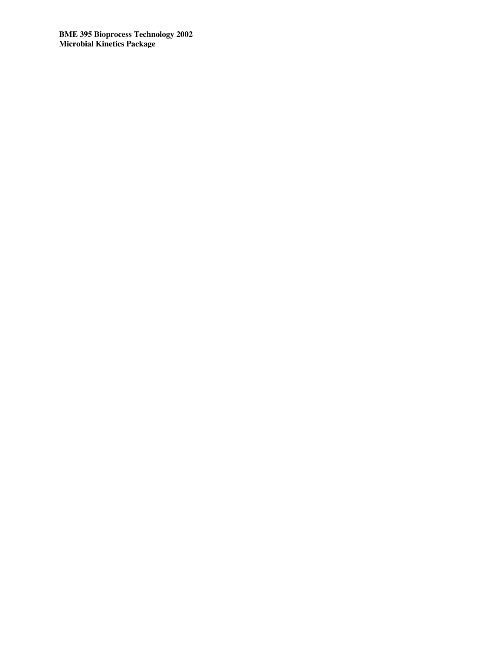**BME 395 Bioprocess Technology 2002 Microbial Kinetics Package**